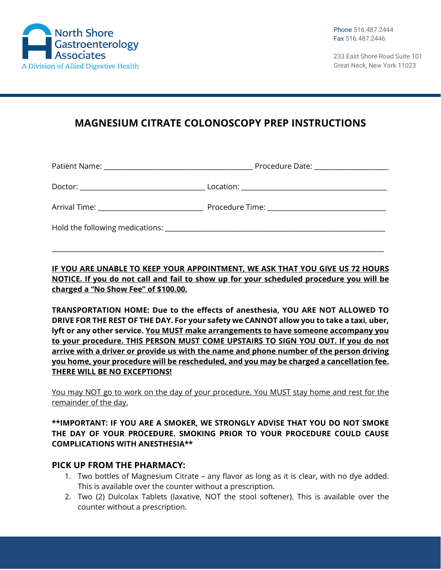

233 East Shore Road Suite 101 Great Neck, New York 11023

# **MAGNESIUM CITRATE COLONOSCOPY PREP INSTRUCTIONS**

| Arrival Time: ________________________________ |                                                                                                                                                                                                                               |
|------------------------------------------------|-------------------------------------------------------------------------------------------------------------------------------------------------------------------------------------------------------------------------------|
|                                                | Hold the following medications: Letter and the state of the state of the state of the state of the state of the state of the state of the state of the state of the state of the state of the state of the state of the state |

**IF YOU ARE UNABLE TO KEEP YOUR APPOINTMENT, WE ASK THAT YOU GIVE US 72 HOURS NOTICE. If you do not call and fail to show up for your scheduled procedure you will be charged a "No Show Fee" of \$100.00.**

\_\_\_\_\_\_\_\_\_\_\_\_\_\_\_\_\_\_\_\_\_\_\_\_\_\_\_\_\_\_\_\_\_\_\_\_\_\_\_\_\_\_\_\_\_\_\_\_\_\_\_\_\_\_\_\_\_\_\_\_\_\_\_\_\_\_\_\_\_\_\_\_\_\_\_\_\_\_\_\_\_\_\_\_\_\_\_\_\_\_\_\_\_\_\_\_\_\_

**TRANSPORTATION HOME: Due to the effects of anesthesia, YOU ARE NOT ALLOWED TO DRIVE FOR THE REST OF THE DAY. For your safety we CANNOT allow you to take a taxi, uber, lyft or any other service. You MUST make arrangements to have someone accompany you to your procedure. THIS PERSON MUST COME UPSTAIRS TO SIGN YOU OUT. If you do not arrive with a driver or provide us with the name and phone number of the person driving you home, your procedure will be rescheduled, and you may be charged a cancellation fee. THERE WILL BE NO EXCEPTIONS!**

You may NOT go to work on the day of your procedure. You MUST stay home and rest for the remainder of the day.

#### **\*\*IMPORTANT: IF YOU ARE A SMOKER, WE STRONGLY ADVISE THAT YOU DO NOT SMOKE THE DAY OF YOUR PROCEDURE. SMOKING PRIOR TO YOUR PROCEDURE COULD CAUSE COMPLICATIONS WITH ANESTHESIA\*\***

#### **PICK UP FROM THE PHARMACY:**

- 1. Two bottles of Magnesium Citrate any flavor as long as it is clear, with no dye added. This is available over the counter without a prescription.
- 2. Two (2) Dulcolax Tablets (laxative, NOT the stool softener). This is available over the counter without a prescription.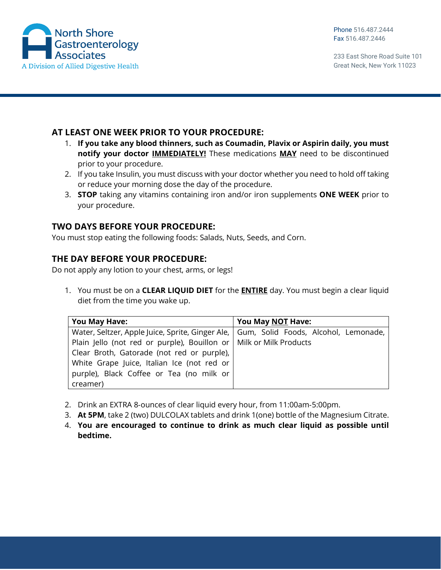

233 East Shore Road Suite 101 Great Neck, New York 11023

#### **AT LEAST ONE WEEK PRIOR TO YOUR PROCEDURE:**

- 1. **If you take any blood thinners, such as Coumadin, Plavix or Aspirin daily, you must notify your doctor IMMEDIATELY!** These medications **MAY** need to be discontinued prior to your procedure.
- 2. If you take Insulin, you must discuss with your doctor whether you need to hold off taking or reduce your morning dose the day of the procedure.
- 3. **STOP** taking any vitamins containing iron and/or iron supplements **ONE WEEK** prior to your procedure.

### **TWO DAYS BEFORE YOUR PROCEDURE:**

You must stop eating the following foods: Salads, Nuts, Seeds, and Corn.

#### **THE DAY BEFORE YOUR PROCEDURE:**

Do not apply any lotion to your chest, arms, or legs!

1. You must be on a **CLEAR LIQUID DIET** for the **ENTIRE** day. You must begin a clear liquid diet from the time you wake up.

| You May Have:                                                                           | You May NOT Have: |
|-----------------------------------------------------------------------------------------|-------------------|
| Water, Seltzer, Apple Juice, Sprite, Ginger Ale,   Gum, Solid Foods, Alcohol, Lemonade, |                   |
| Plain Jello (not red or purple), Bouillon or   Milk or Milk Products                    |                   |
| Clear Broth, Gatorade (not red or purple),                                              |                   |
| White Grape Juice, Italian Ice (not red or                                              |                   |
| purple), Black Coffee or Tea (no milk or                                                |                   |
| creamer)                                                                                |                   |

- 2. Drink an EXTRA 8‐ounces of clear liquid every hour, from 11:00am‐5:00pm.
- 3. **At 5PM**, take 2 (two) DULCOLAX tablets and drink 1(one) bottle of the Magnesium Citrate.
- 4. **You are encouraged to continue to drink as much clear liquid as possible until bedtime.**